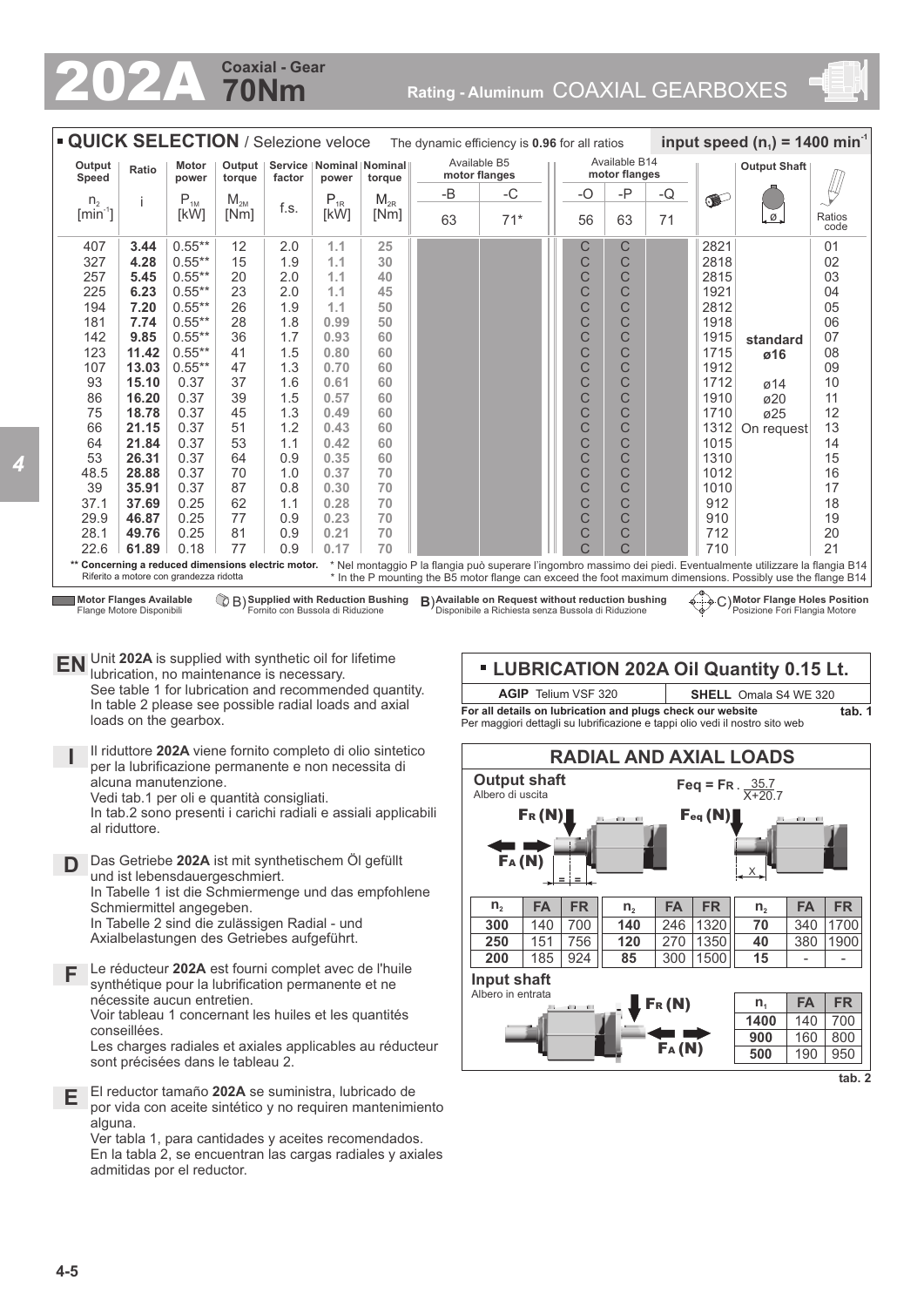## **70Nm Coaxial - Gear**

202A **Rating - Aluminum** COAXIAL GEARBOXES



| " QUICK SELECTION / Selezione veloce<br>input speed $(n_1)$ = 1400 min<br>The dynamic efficiency is 0.96 for all ratios |                                                                                                                                                                                                                                                                                                                                 |           |          |                               |          |          |                                |       |  |              |                     |    |           |                               |                |
|-------------------------------------------------------------------------------------------------------------------------|---------------------------------------------------------------------------------------------------------------------------------------------------------------------------------------------------------------------------------------------------------------------------------------------------------------------------------|-----------|----------|-------------------------------|----------|----------|--------------------------------|-------|--|--------------|---------------------|----|-----------|-------------------------------|----------------|
| Output<br>Speed                                                                                                         | Service   Nominal   Nominal  <br><b>Motor</b><br>Output<br>Ratio<br>factor<br>power<br>torque<br>power                                                                                                                                                                                                                          |           | torque   | Available B5<br>motor flanges |          |          | Available B14<br>motor flanges |       |  |              | <b>Output Shaft</b> |    |           |                               |                |
| n <sub>2</sub>                                                                                                          |                                                                                                                                                                                                                                                                                                                                 | $P_{1M}$  | $M_{2M}$ |                               | $P_{1R}$ | $M_{2R}$ | $-B$                           | $-C$  |  | $-O$         | $-P$                | -Q | $\bullet$ |                               |                |
| $\left[\text{min}^{\text{-}1}\right]$                                                                                   |                                                                                                                                                                                                                                                                                                                                 | [kW]      | [Nm]     | f.s.                          | [kW]     | [Nm]     | 63                             | $71*$ |  | 56           | 63                  | 71 |           | $\frac{\emptyset}{\emptyset}$ | Ratios<br>code |
| 407                                                                                                                     | 3.44                                                                                                                                                                                                                                                                                                                            | $0.55***$ | 12       | 2.0                           | 1.1      | 25       |                                |       |  | С            | C                   |    | 2821      |                               | 01             |
| 327                                                                                                                     | 4.28                                                                                                                                                                                                                                                                                                                            | $0.55***$ | 15       | 1.9                           | 1.1      | 30       |                                |       |  | $\mathsf{C}$ | Ć                   |    | 2818      |                               | 02             |
| 257                                                                                                                     | 5.45                                                                                                                                                                                                                                                                                                                            | $0.55***$ | 20       | 2.0                           | 1.1      | 40       |                                |       |  | C            | C                   |    | 2815      |                               | 03             |
| 225                                                                                                                     | 6.23                                                                                                                                                                                                                                                                                                                            | $0.55***$ | 23       | 2.0                           | 1.1      | 45       |                                |       |  | C            | C                   |    | 1921      |                               | 04             |
| 194                                                                                                                     | 7.20                                                                                                                                                                                                                                                                                                                            | $0.55***$ | 26       | 1.9                           | 1.1      | 50       |                                |       |  | C            | C                   |    | 2812      |                               | 05             |
| 181                                                                                                                     | 7.74                                                                                                                                                                                                                                                                                                                            | $0.55***$ | 28       | 1.8                           | 0.99     | 50       |                                |       |  | $\mathsf{C}$ | Ć                   |    | 1918      |                               | 06             |
| 142                                                                                                                     | 9.85                                                                                                                                                                                                                                                                                                                            | $0.55***$ | 36       | 1.7                           | 0.93     | 60       |                                |       |  | C            | C                   |    | 1915      | standard                      | 07             |
| 123                                                                                                                     | 11.42                                                                                                                                                                                                                                                                                                                           | $0.55***$ | 41       | 1.5                           | 0.80     | 60       |                                |       |  | $\mathsf{C}$ | C                   |    | 1715      | ø16                           | 08             |
| 107                                                                                                                     | 13.03                                                                                                                                                                                                                                                                                                                           | $0.55***$ | 47       | 1.3                           | 0.70     | 60       |                                |       |  | C            | C                   |    | 1912      |                               | 09             |
| 93                                                                                                                      | 15.10                                                                                                                                                                                                                                                                                                                           | 0.37      | 37       | 1.6                           | 0.61     | 60       |                                |       |  | C            | Ć                   |    | 1712      | $\varnothing$ 14              | 10             |
| 86                                                                                                                      | 16.20                                                                                                                                                                                                                                                                                                                           | 0.37      | 39       | 1.5                           | 0.57     | 60       |                                |       |  | C            | Ć                   |    | 1910      | $\sigma$ 20                   | 11             |
| 75                                                                                                                      | 18.78                                                                                                                                                                                                                                                                                                                           | 0.37      | 45       | 1.3                           | 0.49     | 60       |                                |       |  | $\mathsf{C}$ | C                   |    | 1710      | ø25                           | 12             |
| 66                                                                                                                      | 21.15                                                                                                                                                                                                                                                                                                                           | 0.37      | 51       | 1.2                           | 0.43     | 60       |                                |       |  | C            | Ć                   |    | 1312      | On request                    | 13             |
| 64                                                                                                                      | 21.84                                                                                                                                                                                                                                                                                                                           | 0.37      | 53       | 1.1                           | 0.42     | 60       |                                |       |  | C            | Ć                   |    | 1015      |                               | 14             |
| 53                                                                                                                      | 26.31                                                                                                                                                                                                                                                                                                                           | 0.37      | 64       | 0.9                           | 0.35     | 60       |                                |       |  | C<br>C       | Ć                   |    | 1310      |                               | 15             |
| 48.5                                                                                                                    | 28.88                                                                                                                                                                                                                                                                                                                           | 0.37      | 70       | 1.0                           | 0.37     | 70       |                                |       |  |              | Ċ                   |    | 1012      |                               | 16             |
| 39                                                                                                                      | 35.91                                                                                                                                                                                                                                                                                                                           | 0.37      | 87       | 0.8                           | 0.30     | 70       |                                |       |  | C            | C                   |    | 1010      |                               | 17             |
| 37.1                                                                                                                    | 37.69                                                                                                                                                                                                                                                                                                                           | 0.25      | 62       | 1.1                           | 0.28     | 70       |                                |       |  | C            | Ć                   |    | 912       |                               | 18             |
| 29.9                                                                                                                    | 46.87                                                                                                                                                                                                                                                                                                                           | 0.25      | 77       | 0.9                           | 0.23     | 70       |                                |       |  | C            | C                   |    | 910       |                               | 19             |
| 28.1                                                                                                                    | 49.76                                                                                                                                                                                                                                                                                                                           | 0.25      | 81       | 0.9                           | 0.21     | 70       |                                |       |  | C            | C                   |    | 712       |                               | 20             |
| 22.6                                                                                                                    | 61.89                                                                                                                                                                                                                                                                                                                           | 0.18      | 77       | 0.9                           | 0.17     | 70       |                                |       |  | Ċ            | Ć                   |    | 710       |                               | 21             |
|                                                                                                                         | * Nel montaggio P la flangia può superare l'ingombro massimo dei piedi. Eventualmente utilizzare la flangia B14<br>** Concerning a reduced dimensions electric motor.<br>Riferito a motore con grandezza ridotta<br>* In the P mounting the B5 motor flange can exceed the foot maximum dimensions. Possibly use the flange B14 |           |          |                               |          |          |                                |       |  |              |                     |    |           |                               |                |

Flange Motore Disponibili

 $\mathbb{Q}_B$  Supplied with Reduction Bushing Fornito con Bussola di Riduzione

B) Supplied with Reduction Bushing **B**) Available on Request without reduction bushing  $\longleftrightarrow^{\sim}C$ )<br>Fornito con Bussola di Riduzione **B**) Disponibile a Richiesta senza Bussola di Riduzione

**Motor Flange Holes Position** Posizione Fori Flangia Motore

**EN** Unit 202A is supplied with synthetic oil for lifetime<br>unitation to maintenance is necessary lubrication, no maintenance is necessary. See table 1 for lubrication and recommended quantity. In table 2 please see possible radial loads and axial loads on the gearbox.

**I** Il riduttore **202A** viene fornito completo di olio sintetico per la lubrificazione permanente e non necessita di alcuna manutenzione. Vedi tab.1 per oli e quantità consigliati.

In tab.2 sono presenti i carichi radiali e assiali applicabili al riduttore.

- **D** Das Getriebe **202A** ist mit synthetischem Öl gefüllt und ist lebensdauergeschmiert. In Tabelle 1 ist die Schmiermenge und das empfohlene Schmiermittel angegeben. In Tabelle 2 sind die zulässigen Radial - und Axialbelastungen des Getriebes aufgeführt.
- **F** Le réducteur **202A** est fourni complet avec de l'huile synthétique pour la lubrification permanente et ne nécessite aucun entretien. Voir tableau 1 concernant les huiles et les quantités conseillées. Les charges radiales et axiales applicables au réducteur

sont précisées dans le tableau 2.

**E** El reductor tamaño **202A** se suministra, lubricado de por vida con aceite sintético y no requiren mantenimiento alguna.

Ver tabla 1, para cantidades y aceites recomendados. En la tabla 2, se encuentran las cargas radiales y axiales admitidas por el reductor.



**For all details on lubrication and plugs check our website**  Per maggiori dettagli su lubrificazione e tappi olio vedi il nostro sito web